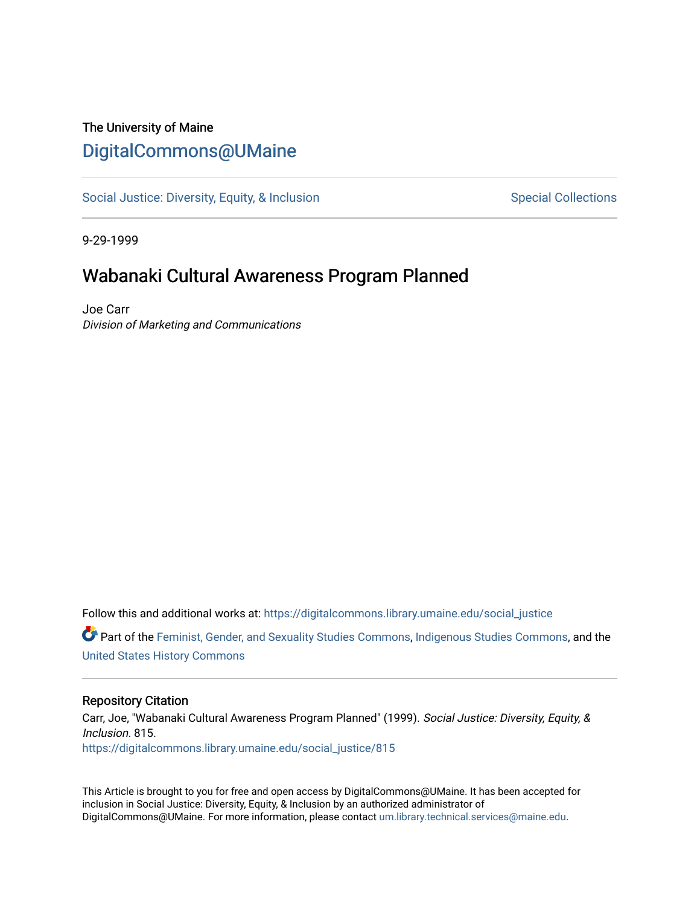## The University of Maine [DigitalCommons@UMaine](https://digitalcommons.library.umaine.edu/)

[Social Justice: Diversity, Equity, & Inclusion](https://digitalcommons.library.umaine.edu/social_justice) [Special Collections](https://digitalcommons.library.umaine.edu/specialcollections) Special Collections

9-29-1999

## Wabanaki Cultural Awareness Program Planned

Joe Carr Division of Marketing and Communications

Follow this and additional works at: [https://digitalcommons.library.umaine.edu/social\\_justice](https://digitalcommons.library.umaine.edu/social_justice?utm_source=digitalcommons.library.umaine.edu%2Fsocial_justice%2F815&utm_medium=PDF&utm_campaign=PDFCoverPages) 

Part of the [Feminist, Gender, and Sexuality Studies Commons](http://network.bepress.com/hgg/discipline/559?utm_source=digitalcommons.library.umaine.edu%2Fsocial_justice%2F815&utm_medium=PDF&utm_campaign=PDFCoverPages), [Indigenous Studies Commons,](http://network.bepress.com/hgg/discipline/571?utm_source=digitalcommons.library.umaine.edu%2Fsocial_justice%2F815&utm_medium=PDF&utm_campaign=PDFCoverPages) and the [United States History Commons](http://network.bepress.com/hgg/discipline/495?utm_source=digitalcommons.library.umaine.edu%2Fsocial_justice%2F815&utm_medium=PDF&utm_campaign=PDFCoverPages)

## Repository Citation

Carr, Joe, "Wabanaki Cultural Awareness Program Planned" (1999). Social Justice: Diversity, Equity, & Inclusion. 815. [https://digitalcommons.library.umaine.edu/social\\_justice/815](https://digitalcommons.library.umaine.edu/social_justice/815?utm_source=digitalcommons.library.umaine.edu%2Fsocial_justice%2F815&utm_medium=PDF&utm_campaign=PDFCoverPages) 

This Article is brought to you for free and open access by DigitalCommons@UMaine. It has been accepted for inclusion in Social Justice: Diversity, Equity, & Inclusion by an authorized administrator of DigitalCommons@UMaine. For more information, please contact [um.library.technical.services@maine.edu](mailto:um.library.technical.services@maine.edu).